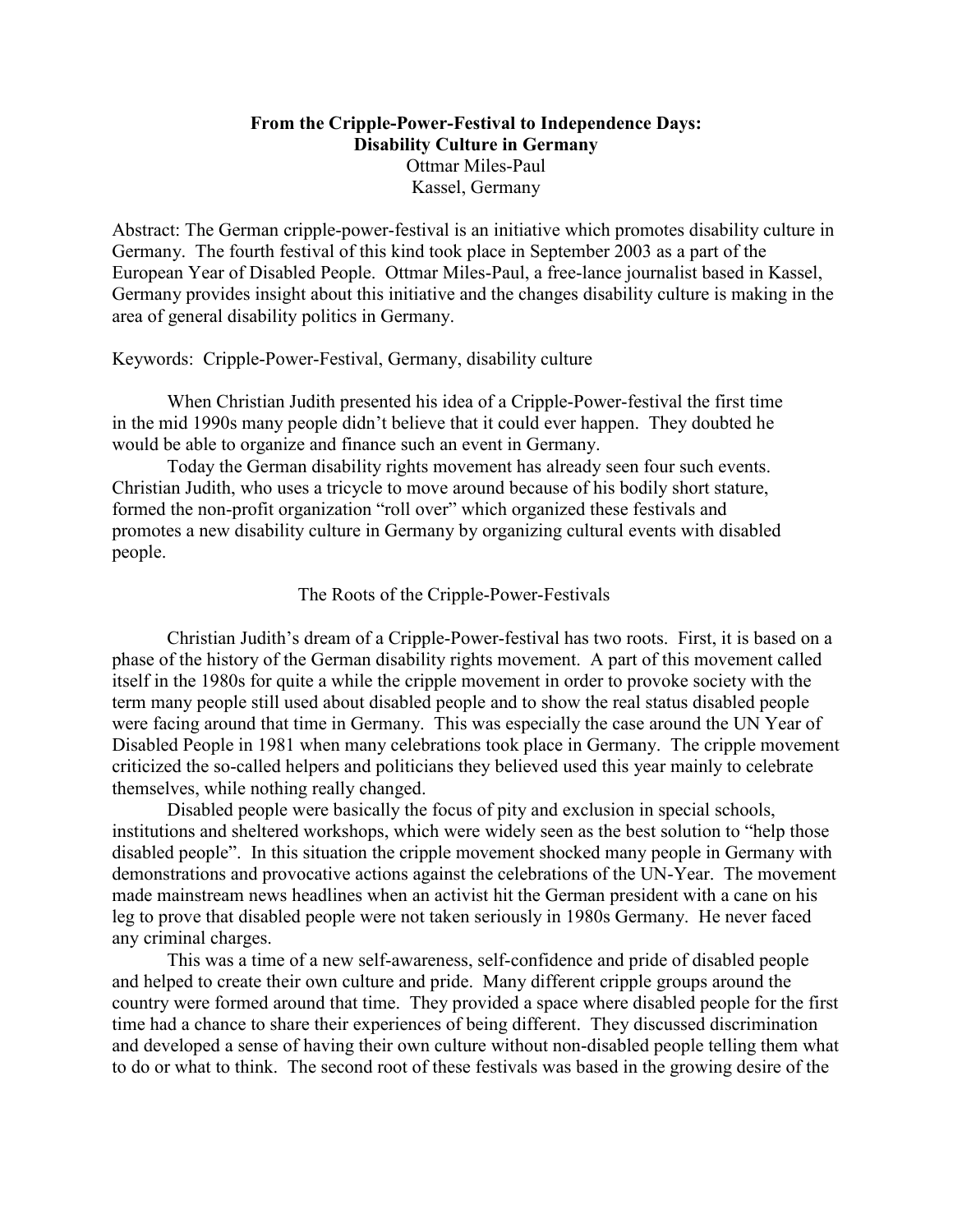# **From the Cripple-Power-Festival to Independence Days: Disability Culture in Germany**  Ottmar Miles-Paul Kassel, Germany

Abstract: The German cripple-power-festival is an initiative which promotes disability culture in Germany. The fourth festival of this kind took place in September 2003 as a part of the European Year of Disabled People. Ottmar Miles-Paul, a free-lance journalist based in Kassel, Germany provides insight about this initiative and the changes disability culture is making in the area of general disability politics in Germany.

# Keywords: Cripple-Power-Festival, Germany, disability culture

When Christian Judith presented his idea of a Cripple-Power-festival the first time in the mid 1990s many people didn't believe that it could ever happen. They doubted he would be able to organize and finance such an event in Germany.

Today the German disability rights movement has already seen four such events. Christian Judith, who uses a tricycle to move around because of his bodily short stature, formed the non-profit organization "roll over" which organized these festivals and promotes a new disability culture in Germany by organizing cultural events with disabled people.

## The Roots of the Cripple-Power-Festivals

Christian Judith's dream of a Cripple-Power-festival has two roots. First, it is based on a phase of the history of the German disability rights movement. A part of this movement called itself in the 1980s for quite a while the cripple movement in order to provoke society with the term many people still used about disabled people and to show the real status disabled people were facing around that time in Germany. This was especially the case around the UN Year of Disabled People in 1981 when many celebrations took place in Germany. The cripple movement criticized the so-called helpers and politicians they believed used this year mainly to celebrate themselves, while nothing really changed.

Disabled people were basically the focus of pity and exclusion in special schools, institutions and sheltered workshops, which were widely seen as the best solution to "help those disabled people". In this situation the cripple movement shocked many people in Germany with demonstrations and provocative actions against the celebrations of the UN-Year. The movement made mainstream news headlines when an activist hit the German president with a cane on his leg to prove that disabled people were not taken seriously in 1980s Germany. He never faced any criminal charges.

This was a time of a new self-awareness, self-confidence and pride of disabled people and helped to create their own culture and pride. Many different cripple groups around the country were formed around that time. They provided a space where disabled people for the first time had a chance to share their experiences of being different. They discussed discrimination and developed a sense of having their own culture without non-disabled people telling them what to do or what to think. The second root of these festivals was based in the growing desire of the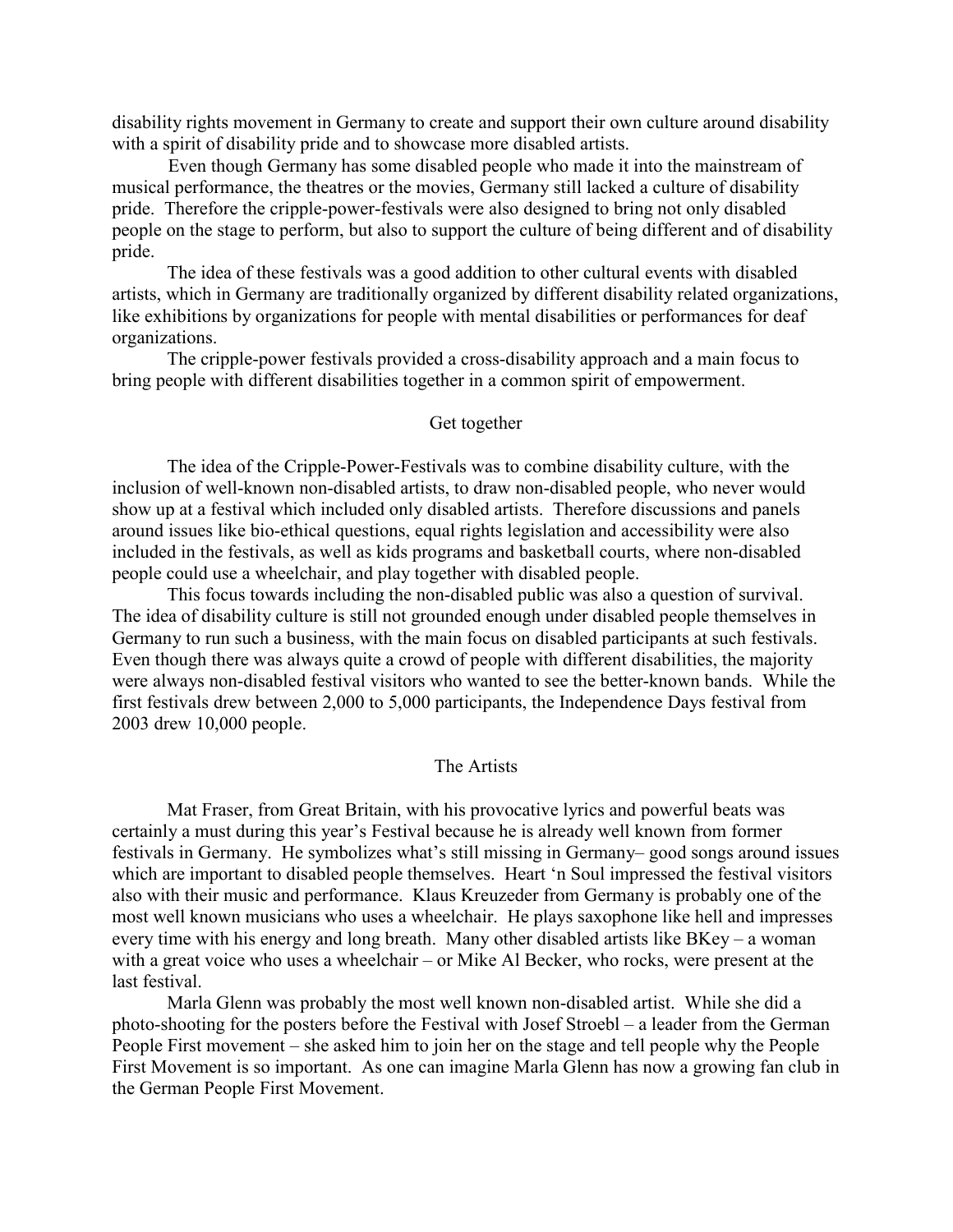disability rights movement in Germany to create and support their own culture around disability with a spirit of disability pride and to showcase more disabled artists.

 Even though Germany has some disabled people who made it into the mainstream of musical performance, the theatres or the movies, Germany still lacked a culture of disability pride. Therefore the cripple-power-festivals were also designed to bring not only disabled people on the stage to perform, but also to support the culture of being different and of disability pride.

The idea of these festivals was a good addition to other cultural events with disabled artists, which in Germany are traditionally organized by different disability related organizations, like exhibitions by organizations for people with mental disabilities or performances for deaf organizations.

The cripple-power festivals provided a cross-disability approach and a main focus to bring people with different disabilities together in a common spirit of empowerment.

### Get together

The idea of the Cripple-Power-Festivals was to combine disability culture, with the inclusion of well-known non-disabled artists, to draw non-disabled people, who never would show up at a festival which included only disabled artists. Therefore discussions and panels around issues like bio-ethical questions, equal rights legislation and accessibility were also included in the festivals, as well as kids programs and basketball courts, where non-disabled people could use a wheelchair, and play together with disabled people.

This focus towards including the non-disabled public was also a question of survival. The idea of disability culture is still not grounded enough under disabled people themselves in Germany to run such a business, with the main focus on disabled participants at such festivals. Even though there was always quite a crowd of people with different disabilities, the majority were always non-disabled festival visitors who wanted to see the better-known bands. While the first festivals drew between 2,000 to 5,000 participants, the Independence Days festival from 2003 drew 10,000 people.

### The Artists

Mat Fraser, from Great Britain, with his provocative lyrics and powerful beats was certainly a must during this year's Festival because he is already well known from former festivals in Germany. He symbolizes what's still missing in Germany– good songs around issues which are important to disabled people themselves. Heart 'n Soul impressed the festival visitors also with their music and performance. Klaus Kreuzeder from Germany is probably one of the most well known musicians who uses a wheelchair. He plays saxophone like hell and impresses every time with his energy and long breath. Many other disabled artists like BKey – a woman with a great voice who uses a wheelchair – or Mike Al Becker, who rocks, were present at the last festival.

Marla Glenn was probably the most well known non-disabled artist. While she did a photo-shooting for the posters before the Festival with Josef Stroebl – a leader from the German People First movement – she asked him to join her on the stage and tell people why the People First Movement is so important. As one can imagine Marla Glenn has now a growing fan club in the German People First Movement.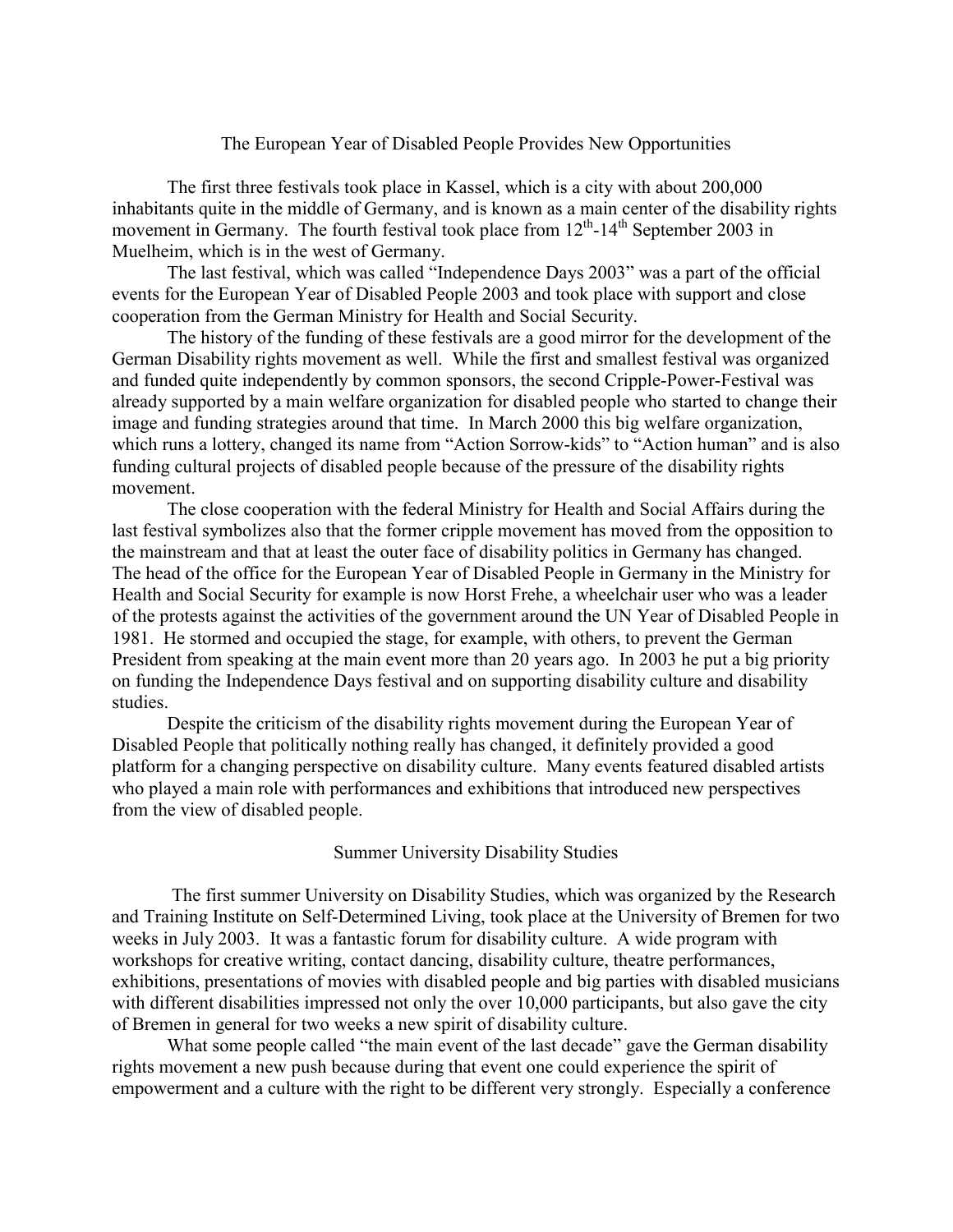### The European Year of Disabled People Provides New Opportunities

The first three festivals took place in Kassel, which is a city with about 200,000 inhabitants quite in the middle of Germany, and is known as a main center of the disability rights movement in Germany. The fourth festival took place from  $12<sup>th</sup>$ -14<sup>th</sup> September 2003 in Muelheim, which is in the west of Germany.

The last festival, which was called "Independence Days 2003" was a part of the official events for the European Year of Disabled People 2003 and took place with support and close cooperation from the German Ministry for Health and Social Security.

The history of the funding of these festivals are a good mirror for the development of the German Disability rights movement as well. While the first and smallest festival was organized and funded quite independently by common sponsors, the second Cripple-Power-Festival was already supported by a main welfare organization for disabled people who started to change their image and funding strategies around that time. In March 2000 this big welfare organization, which runs a lottery, changed its name from "Action Sorrow-kids" to "Action human" and is also funding cultural projects of disabled people because of the pressure of the disability rights movement.

The close cooperation with the federal Ministry for Health and Social Affairs during the last festival symbolizes also that the former cripple movement has moved from the opposition to the mainstream and that at least the outer face of disability politics in Germany has changed. The head of the office for the European Year of Disabled People in Germany in the Ministry for Health and Social Security for example is now Horst Frehe, a wheelchair user who was a leader of the protests against the activities of the government around the UN Year of Disabled People in 1981. He stormed and occupied the stage, for example, with others, to prevent the German President from speaking at the main event more than 20 years ago. In 2003 he put a big priority on funding the Independence Days festival and on supporting disability culture and disability studies.

Despite the criticism of the disability rights movement during the European Year of Disabled People that politically nothing really has changed, it definitely provided a good platform for a changing perspective on disability culture. Many events featured disabled artists who played a main role with performances and exhibitions that introduced new perspectives from the view of disabled people.

#### Summer University Disability Studies

 The first summer University on Disability Studies, which was organized by the Research and Training Institute on Self-Determined Living, took place at the University of Bremen for two weeks in July 2003. It was a fantastic forum for disability culture. A wide program with workshops for creative writing, contact dancing, disability culture, theatre performances, exhibitions, presentations of movies with disabled people and big parties with disabled musicians with different disabilities impressed not only the over 10,000 participants, but also gave the city of Bremen in general for two weeks a new spirit of disability culture.

What some people called "the main event of the last decade" gave the German disability rights movement a new push because during that event one could experience the spirit of empowerment and a culture with the right to be different very strongly. Especially a conference